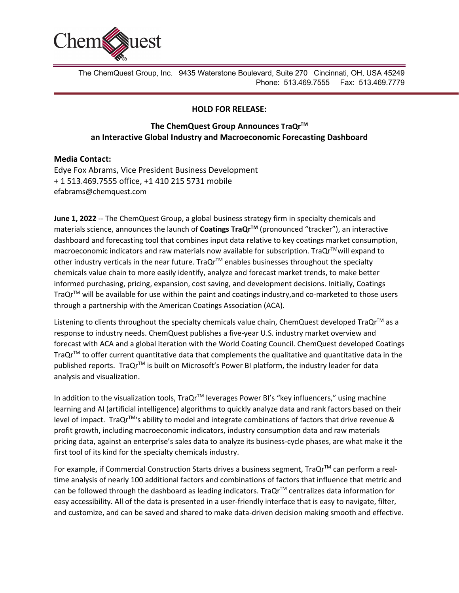

The ChemQuest Group, Inc. 9435 Waterstone Boulevard, Suite 270 Cincinnati, OH, USA 45249 Phone: 513.469.7555 Fax: 513.469.7779

## **HOLD FOR RELEASE:**

## **The ChemQuest Group Announces TraQrTM an Interactive Global Industry and Macroeconomic Forecasting Dashboard**

## **Media Contact:**

Edye Fox Abrams, Vice President Business Development + 1 513.469.7555 office, +1 410 215 5731 mobile efabrams@chemquest.com

**June 1, 2022** -- The ChemQuest Group, a global business strategy firm in specialty chemicals and materials science, announces the launch of **Coatings TraQrTM** (pronounced "tracker"), an interactive dashboard and forecasting tool that combines input data relative to key coatings market consumption, macroeconomic indicators and raw materials now available for subscription. TraQr™will expand to other industry verticals in the near future. Tra $Qr^{TM}$  enables businesses throughout the specialty chemicals value chain to more easily identify, analyze and forecast market trends, to make better informed purchasing, pricing, expansion, cost saving, and development decisions. Initially, Coatings TraQr™ will be available for use within the paint and coatings industry, and co-marketed to those users through a partnership with the American Coatings Association (ACA).

Listening to clients throughout the specialty chemicals value chain, ChemQuest developed TraQr™ as a response to industry needs. ChemQuest publishes a five-year U.S. industry market overview and forecast with ACA and a global iteration with the World Coating Council. ChemQuest developed Coatings TraQr<sup>TM</sup> to offer current quantitative data that complements the qualitative and quantitative data in the published reports. TraQr<sup>TM</sup> is built on Microsoft's Power BI platform, the industry leader for data analysis and visualization.

In addition to the visualization tools, TraQr™ leverages Power BI's "key influencers," using machine learning and AI (artificial intelligence) algorithms to quickly analyze data and rank factors based on their level of impact. TraQr™'s ability to model and integrate combinations of factors that drive revenue & profit growth, including macroeconomic indicators, industry consumption data and raw materials pricing data, against an enterprise's sales data to analyze its business-cycle phases, are what make it the first tool of its kind for the specialty chemicals industry.

For example, if Commercial Construction Starts drives a business segment, TraQr™ can perform a realtime analysis of nearly 100 additional factors and combinations of factors that influence that metric and can be followed through the dashboard as leading indicators. TraQr<sup>TM</sup> centralizes data information for easy accessibility. All of the data is presented in a user-friendly interface that is easy to navigate, filter, and customize, and can be saved and shared to make data-driven decision making smooth and effective.